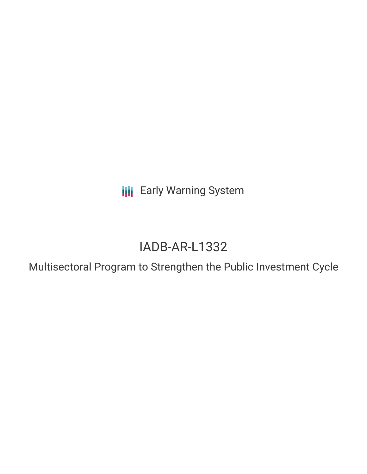**III** Early Warning System

# IADB-AR-L1332

Multisectoral Program to Strengthen the Public Investment Cycle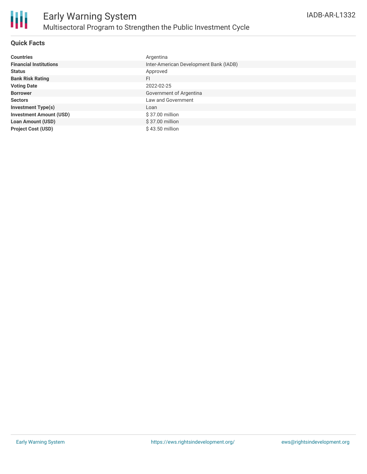

## **Quick Facts**

| <b>Countries</b>               | Argentina                              |
|--------------------------------|----------------------------------------|
| <b>Financial Institutions</b>  | Inter-American Development Bank (IADB) |
| <b>Status</b>                  | Approved                               |
| <b>Bank Risk Rating</b>        | FI                                     |
| <b>Voting Date</b>             | 2022-02-25                             |
| <b>Borrower</b>                | Government of Argentina                |
| <b>Sectors</b>                 | Law and Government                     |
| <b>Investment Type(s)</b>      | Loan                                   |
| <b>Investment Amount (USD)</b> | \$37.00 million                        |
| <b>Loan Amount (USD)</b>       | $$37.00$ million                       |
| <b>Project Cost (USD)</b>      | \$43.50 million                        |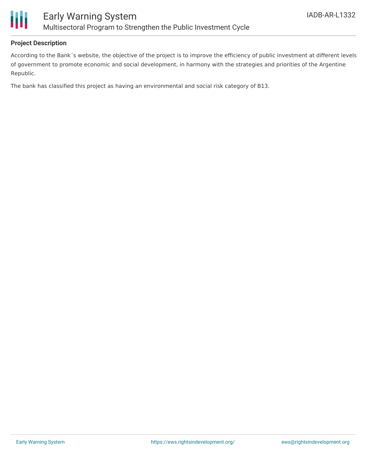

## **Project Description**

According to the Bank´s website, the objective of the project is to improve the efficiency of public investment at different levels of government to promote economic and social development, in harmony with the strategies and priorities of the Argentine Republic.

The bank has classified this project as having an environmental and social risk category of B13.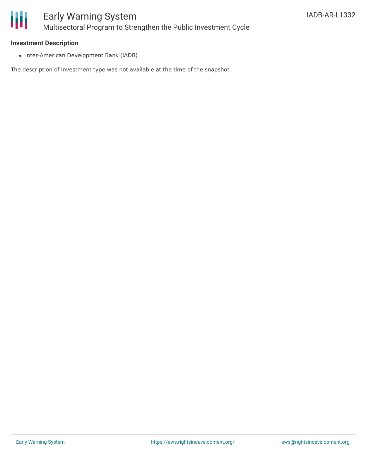

### **Investment Description**

• Inter-American Development Bank (IADB)

The description of investment type was not available at the time of the snapshot.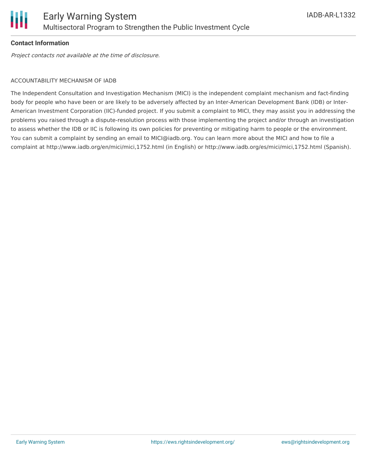

## **Contact Information**

Project contacts not available at the time of disclosure.

#### ACCOUNTABILITY MECHANISM OF IADB

The Independent Consultation and Investigation Mechanism (MICI) is the independent complaint mechanism and fact-finding body for people who have been or are likely to be adversely affected by an Inter-American Development Bank (IDB) or Inter-American Investment Corporation (IIC)-funded project. If you submit a complaint to MICI, they may assist you in addressing the problems you raised through a dispute-resolution process with those implementing the project and/or through an investigation to assess whether the IDB or IIC is following its own policies for preventing or mitigating harm to people or the environment. You can submit a complaint by sending an email to MICI@iadb.org. You can learn more about the MICI and how to file a complaint at http://www.iadb.org/en/mici/mici,1752.html (in English) or http://www.iadb.org/es/mici/mici,1752.html (Spanish).